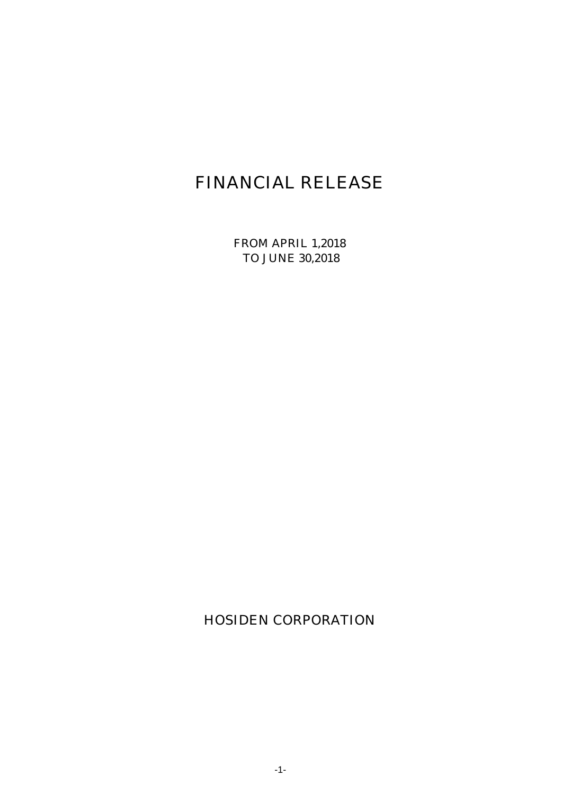# FINANCIAL RELEASE

FROM APRIL 1,2018 TO JUNE 30,2018

HOSIDEN CORPORATION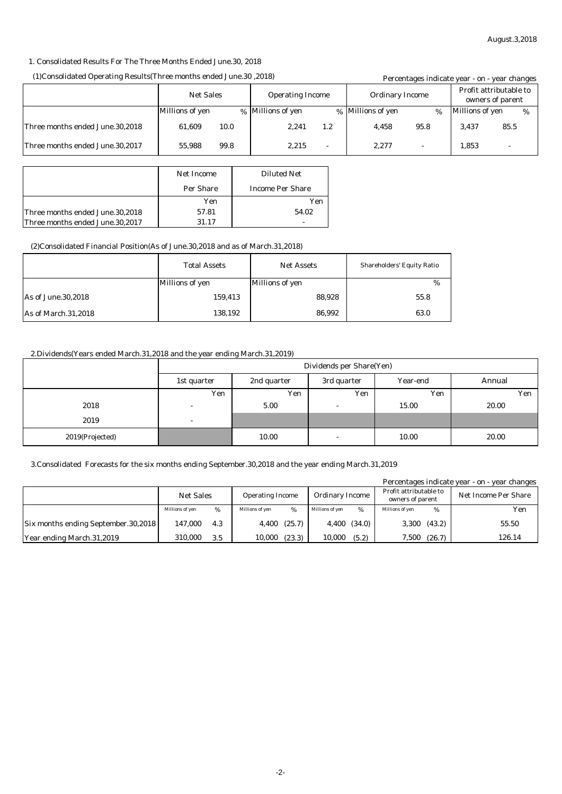#### 1. Consolidated Results For The Three Months Ended June.30, 2018

#### (1)Consolidated Operating Results(Three months ended June.30 ,2018)

| (18) (2018, 2018) Consolidated Operating Results (Three months ended June. 30, 2018) |                                             |      |                   |                        |                   | Percentages indicate year - on - year changes |                  |      |   |
|--------------------------------------------------------------------------------------|---------------------------------------------|------|-------------------|------------------------|-------------------|-----------------------------------------------|------------------|------|---|
|                                                                                      | <b>Net Sales</b><br><b>Operating Income</b> |      |                   | <b>Ordinary Income</b> |                   | Profit attributable to                        | owners of parent |      |   |
|                                                                                      | Millions of yen                             |      | % Millions of yen |                        | % Millions of yen | %                                             | Millions of yen  |      | % |
| Three months ended June.30,2018                                                      | 61.609                                      | 10.0 | 2.241             | 1.2                    | 4.458             | 95.8                                          | 3.437            | 85.5 |   |
| Three months ended June.30.2017                                                      | 55.988                                      | 99.8 | 2.215             | ٠                      | 2.277             |                                               | 1.853            |      |   |

|                                 | <b>Net Income</b> | <b>Diluted Net</b>      |
|---------------------------------|-------------------|-------------------------|
|                                 | <b>Per Share</b>  | <b>Income Per Share</b> |
|                                 | Yen               | Yen                     |
| Three months ended June.30,2018 | 57.81             | 54.02                   |
| Three months ended June.30,2017 | 31.17             |                         |

#### (2)Consolidated Financial Position(As of June.30,2018 and as of March.31,2018)

|                      | <b>Total Assets</b> | <b>Net Assets</b> | <b>Shareholders' Equity Ratio</b> |  |
|----------------------|---------------------|-------------------|-----------------------------------|--|
|                      | Millions of yen     | Millions of yen   | %                                 |  |
| As of June. 30, 2018 | 159,413             | 88.928            | 55.8                              |  |
| As of March.31,2018  | 138,192             | 86.992            | 63.0                              |  |

#### 2.Dividends(Years ended March.31,2018 and the year ending March.31,2019)

|                 | Dividends per Share(Yen) |        |                          |       |       |  |  |  |
|-----------------|--------------------------|--------|--------------------------|-------|-------|--|--|--|
|                 | 1st quarter              | Annual |                          |       |       |  |  |  |
|                 | Yen                      | Yen    | Yen                      | Yen   | Yen   |  |  |  |
| 2018            | $\overline{\phantom{a}}$ | 5.00   |                          | 15.00 | 20.00 |  |  |  |
| 2019            | $\overline{\phantom{a}}$ |        |                          |       |       |  |  |  |
| 2019(Projected) |                          | 10.00  | $\overline{\phantom{0}}$ | 10.00 | 20.00 |  |  |  |

#### 3.Consolidated Forecasts for the six months ending September.30,2018 and the year ending March.31,2019

| Percentages indicate year - on - year changes |                  |     |                         |                  |                 |        |                 |        |                        |  |                                            |  |                             |
|-----------------------------------------------|------------------|-----|-------------------------|------------------|-----------------|--------|-----------------|--------|------------------------|--|--------------------------------------------|--|-----------------------------|
|                                               | <b>Net Sales</b> |     | <b>Operating Income</b> |                  |                 |        |                 |        | <b>Ordinary Income</b> |  | Profit attributable to<br>owners of parent |  | <b>Net Income Per Share</b> |
|                                               | Millions of yen  | %   | Millions of yen         | $\%$             | Millions of ven |        | Millions of yen | %      | Yen                    |  |                                            |  |                             |
| <b>Six months ending September.30,2018</b>    | 147.000          | 4.3 |                         | $4,400$ $(25.7)$ | 4,400           | (34.0) | 3,300           | (43.2) | 55.50                  |  |                                            |  |                             |
| Year ending March.31,2019                     | 310.000          | 3.5 | 10,000                  | (23.3)           | 10,000          | (5.2)  | 7,500           | (26.7) | 126.14                 |  |                                            |  |                             |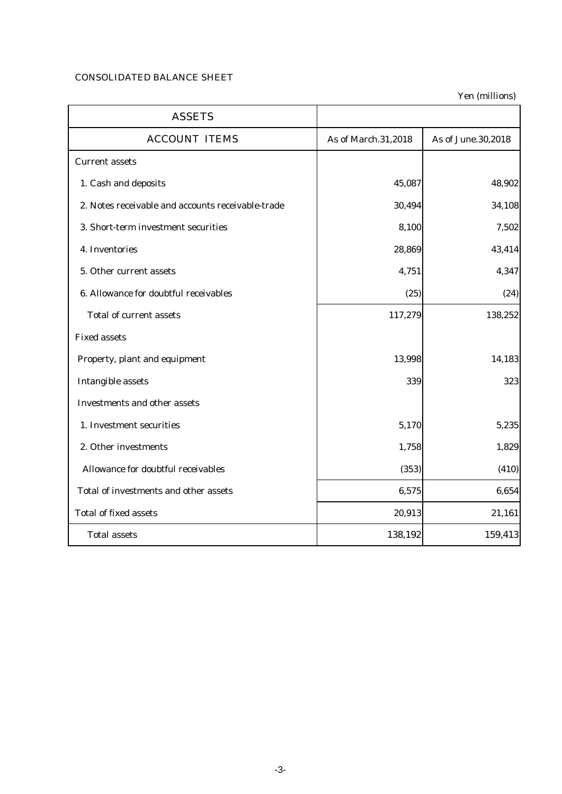### CONSOLIDATED BALANCE SHEET

| <b>ASSETS</b>                                     |                     |                    |
|---------------------------------------------------|---------------------|--------------------|
| <b>ACCOUNT ITEMS</b>                              | As of March.31,2018 | As of June.30,2018 |
| <b>Current assets</b>                             |                     |                    |
| 1. Cash and deposits                              | 45,087              | 48,902             |
| 2. Notes receivable and accounts receivable-trade | 30,494              | 34,108             |
| 3. Short-term investment securities               | 8,100               | 7,502              |
| 4. Inventories                                    | 28,869              | 43,414             |
| 5. Other current assets                           | 4,751               | 4,347              |
| 6. Allowance for doubtful receivables             | (25)                | (24)               |
| <b>Total of current assets</b>                    | 117,279             | 138,252            |
| <b>Fixed assets</b>                               |                     |                    |
| Property, plant and equipment                     | 13,998              | 14,183             |
| <b>Intangible assets</b>                          | 339                 | 323                |
| <b>Investments and other assets</b>               |                     |                    |
| 1. Investment securities                          | 5,170               | 5,235              |
| 2. Other investments                              | 1,758               | 1,829              |
| Allowance for doubtful receivables                | (353)               | (410)              |
| Total of investments and other assets             | 6,575               | 6,654              |
| <b>Total of fixed assets</b>                      | 20,913              | 21,161             |
| <b>Total assets</b>                               | 138,192             | 159,413            |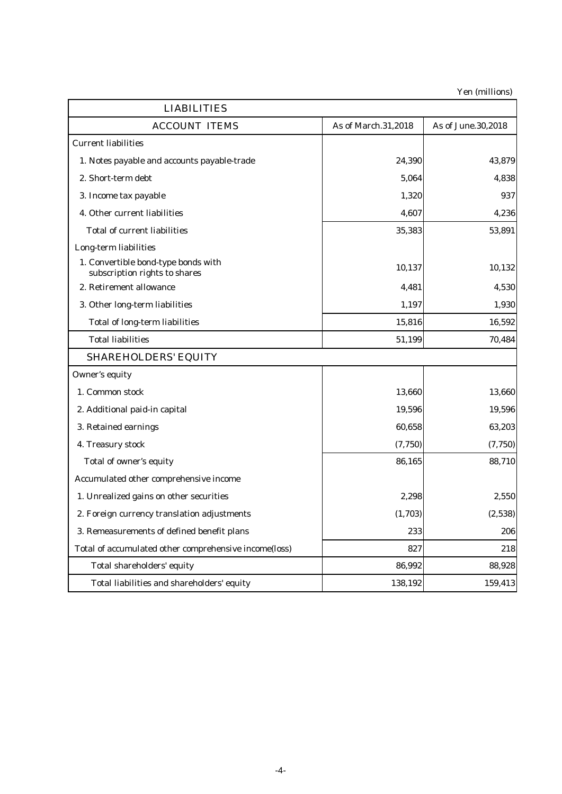| <b>LIABILITIES</b>                                                   |                     |                    |
|----------------------------------------------------------------------|---------------------|--------------------|
| <b>ACCOUNT ITEMS</b>                                                 | As of March.31,2018 | As of June.30,2018 |
| <b>Current liabilities</b>                                           |                     |                    |
| 1. Notes payable and accounts payable-trade                          | 24,390              | 43,879             |
| 2. Short-term debt                                                   | 5,064               | 4,838              |
| 3. Income tax payable                                                | 1,320               | 937                |
| 4. Other current liabilities                                         | 4,607               | 4,236              |
| <b>Total of current liabilities</b>                                  | 35,383              | 53,891             |
| Long-term liabilities                                                |                     |                    |
| 1. Convertible bond-type bonds with<br>subscription rights to shares | 10,137              | 10,132             |
| 2. Retirement allowance                                              | 4,481               | 4,530              |
| 3. Other long-term liabilities                                       | 1,197               | 1,930              |
| <b>Total of long-term liabilities</b>                                | 15,816              | 16,592             |
| <b>Total liabilities</b>                                             | 51,199              | 70,484             |
| <b>SHAREHOLDERS' EQUITY</b>                                          |                     |                    |
| Owner's equity                                                       |                     |                    |
| 1. Common stock                                                      | 13,660              | 13,660             |
| 2. Additional paid-in capital                                        | 19,596              | 19,596             |
| 3. Retained earnings                                                 | 60,658              | 63,203             |
| 4. Treasury stock                                                    | (7, 750)            | (7, 750)           |
| Total of owner's equity                                              | 86,165              | 88,710             |
| Accumulated other comprehensive income                               |                     |                    |
| 1. Unrealized gains on other securities                              | 2,298               | 2,550              |
| 2. Foreign currency translation adjustments                          | (1,703)             | (2,538)            |
| 3. Remeasurements of defined benefit plans                           | 233                 | 206                |
| Total of accumulated other comprehensive income(loss)                | 827                 | 218                |
| Total shareholders' equity                                           | 86,992              | 88,928             |
| Total liabilities and shareholders' equity                           | 138,192             | 159,413            |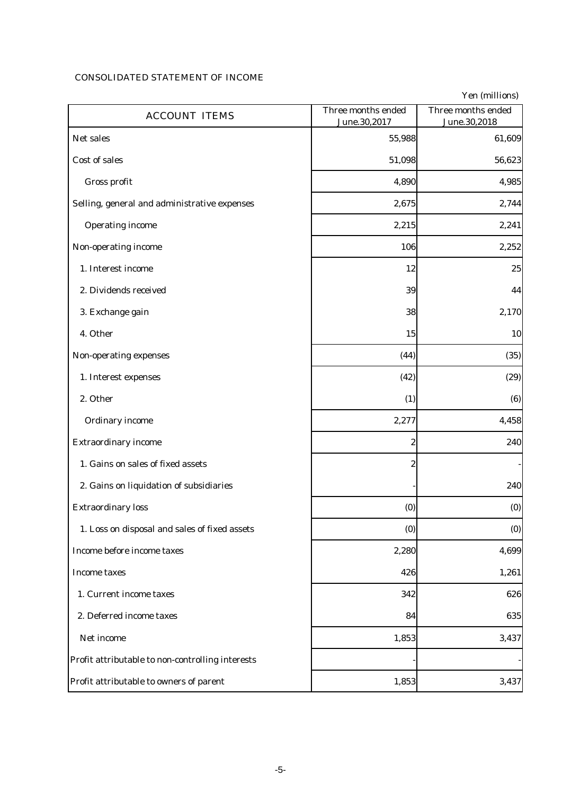# CONSOLIDATED STATEMENT OF INCOME

| <b>ACCOUNT ITEMS</b>                             | Three months ended<br>June.30,2017 | Three months ended<br>June.30,2018 |
|--------------------------------------------------|------------------------------------|------------------------------------|
| Net sales                                        | 55,988                             | 61,609                             |
| Cost of sales                                    | 51,098                             | 56,623                             |
| Gross profit                                     | 4,890                              | 4,985                              |
| Selling, general and administrative expenses     | 2,675                              | 2,744                              |
| <b>Operating income</b>                          | 2,215                              | 2,241                              |
| Non-operating income                             | 106                                | 2,252                              |
| 1. Interest income                               | 12                                 | 25                                 |
| 2. Dividends received                            | 39                                 | 44                                 |
| 3. Exchange gain                                 | 38                                 | 2,170                              |
| 4. Other                                         | 15                                 | 10                                 |
| Non-operating expenses                           | (44)                               | (35)                               |
| 1. Interest expenses                             | (42)                               | (29)                               |
| 2. Other                                         | (1)                                | (6)                                |
| <b>Ordinary income</b>                           | 2,277                              | 4,458                              |
| <b>Extraordinary income</b>                      | 2                                  | 240                                |
| 1. Gains on sales of fixed assets                | $\boldsymbol{2}$                   |                                    |
| 2. Gains on liquidation of subsidiaries          |                                    | 240                                |
| <b>Extraordinary loss</b>                        | (0)                                | (0)                                |
| 1. Loss on disposal and sales of fixed assets    | (0)                                | (0)                                |
| Income before income taxes                       | 2,280                              | 4,699                              |
| <b>Income taxes</b>                              | 426                                | 1,261                              |
| 1. Current income taxes                          | 342                                | 626                                |
| 2. Deferred income taxes                         | 84                                 | 635                                |
| Net income                                       | 1,853                              | 3,437                              |
| Profit attributable to non-controlling interests |                                    |                                    |
| Profit attributable to owners of parent          | 1,853                              | 3,437                              |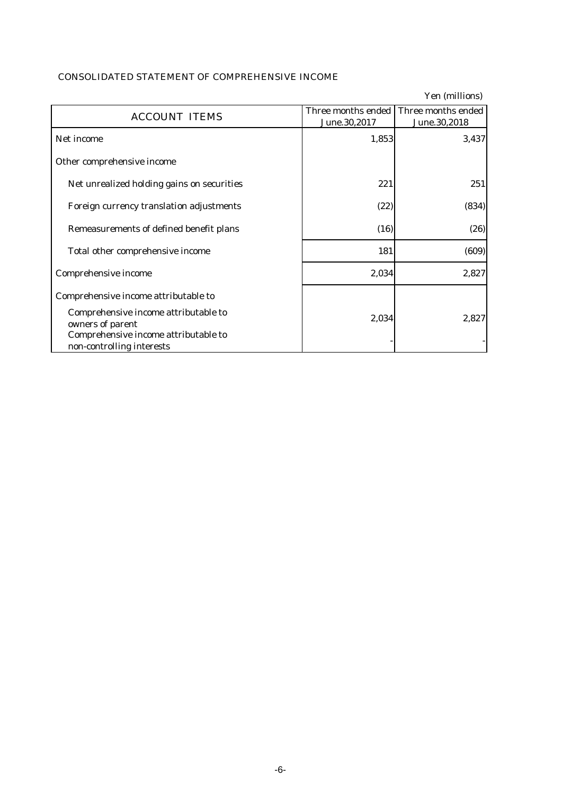| <b>CONSOLIDATED STATEMENT OF COMPREHENSIVE INCOME</b> |  |
|-------------------------------------------------------|--|
|-------------------------------------------------------|--|

|                                                                                                                               |                                    | Yen (millions)                     |
|-------------------------------------------------------------------------------------------------------------------------------|------------------------------------|------------------------------------|
| <b>ACCOUNT ITEMS</b>                                                                                                          | Three months ended<br>June.30,2017 | Three months ended<br>June.30,2018 |
| Net income                                                                                                                    | 1,853                              | 3,437                              |
| Other comprehensive income                                                                                                    |                                    |                                    |
| Net unrealized holding gains on securities                                                                                    | 221                                | 251                                |
| Foreign currency translation adjustments                                                                                      | (22)                               | (834)                              |
| Remeasurements of defined benefit plans                                                                                       | (16)                               | (26)                               |
| Total other comprehensive income                                                                                              | 181                                | (609)                              |
| Comprehensive income                                                                                                          | 2,034                              | 2,827                              |
| Comprehensive income attributable to                                                                                          |                                    |                                    |
| Comprehensive income attributable to<br>owners of parent<br>Comprehensive income attributable to<br>non-controlling interests | 2,034                              | 2,827                              |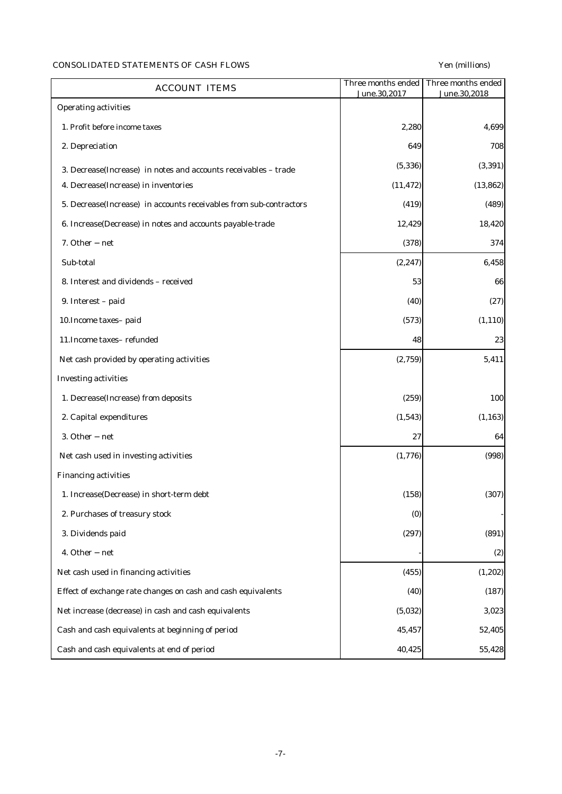# CONSOLIDATED STATEMENTS OF CASH FLOWS Yen (millions)

| <b>ACCOUNT ITEMS</b>                                               | Three months ended<br>June.30,2017 | Three months ended<br>June.30,2018 |
|--------------------------------------------------------------------|------------------------------------|------------------------------------|
| <b>Operating activities</b>                                        |                                    |                                    |
| 1. Profit before income taxes                                      | 2,280                              | 4,699                              |
| 2. Depreciation                                                    | 649                                | 708                                |
| 3. Decrease(Increase) in notes and accounts receivables - trade    | (5, 336)                           | (3, 391)                           |
| 4. Decrease(Increase) in inventories                               | (11, 472)                          | (13, 862)                          |
| 5. Decrease(Increase) in accounts receivables from sub-contractors | (419)                              | (489)                              |
| 6. Increase(Decrease) in notes and accounts payable-trade          | 12,429                             | 18,420                             |
| 7. Other net                                                       | (378)                              | 374                                |
| Sub-total                                                          | (2, 247)                           | 6,458                              |
| 8. Interest and dividends - received                               | 53                                 | 66                                 |
| 9. Interest - paid                                                 | (40)                               | (27)                               |
| 10. Income taxes-paid                                              | (573)                              | (1, 110)                           |
| 11. Income taxes-refunded                                          | 48                                 | 23                                 |
| Net cash provided by operating activities                          | (2,759)                            | 5,411                              |
| <b>Investing activities</b>                                        |                                    |                                    |
| 1. Decrease(Increase) from deposits                                | (259)                              | 100                                |
| 2. Capital expenditures                                            | (1, 543)                           | (1, 163)                           |
| 3. Other<br>net                                                    | 27                                 | 64                                 |
| Net cash used in investing activities                              | (1,776)                            | (998)                              |
| <b>Financing activities</b>                                        |                                    |                                    |
| 1. Increase(Decrease) in short-term debt                           | (158)                              | (307)                              |
| 2. Purchases of treasury stock                                     | (0)                                |                                    |
| 3. Dividends paid                                                  | (297)                              | (891)                              |
| 4. Other net                                                       |                                    | (2)                                |
| Net cash used in financing activities                              | (455)                              | (1, 202)                           |
| Effect of exchange rate changes on cash and cash equivalents       | (40)                               | (187)                              |
| Net increase (decrease) in cash and cash equivalents               | (5,032)                            | 3,023                              |
| Cash and cash equivalents at beginning of period                   | 45,457                             | 52,405                             |
| Cash and cash equivalents at end of period                         | 40,425                             | 55,428                             |